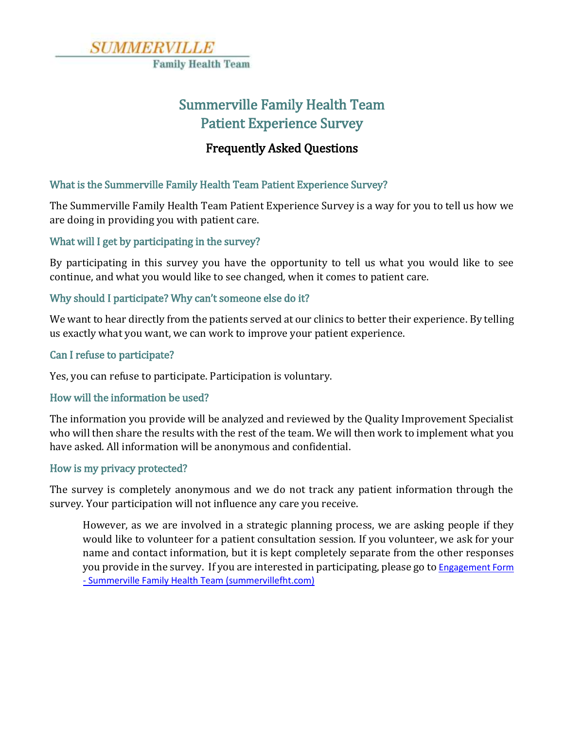

# Summerville Family Health Team Patient Experience Survey

## Frequently Asked Questions

### What is the Summerville Family Health Team Patient Experience Survey?

The Summerville Family Health Team Patient Experience Survey is a way for you to tell us how we are doing in providing you with patient care.

#### What will I get by participating in the survey?

By participating in this survey you have the opportunity to tell us what you would like to see continue, and what you would like to see changed, when it comes to patient care.

#### Why should I participate? Why can't someone else do it?

We want to hear directly from the patients served at our clinics to better their experience. By telling us exactly what you want, we can work to improve your patient experience.

#### Can I refuse to participate?

Yes, you can refuse to participate. Participation is voluntary.

#### How will the information be used?

The information you provide will be analyzed and reviewed by the Quality Improvement Specialist who will then share the results with the rest of the team. We will then work to implement what you have asked. All information will be anonymous and confidential.

#### How is my privacy protected?

The survey is completely anonymous and we do not track any patient information through the survey. Your participation will not influence any care you receive.

However, as we are involved in a strategic planning process, we are asking people if they would like to volunteer for a patient consultation session. If you volunteer, we ask for your name and contact information, but it is kept completely separate from the other responses you provide in the survey. If you are interested in participating, please go to Engagement Form - [Summerville Family Health Team \(summervillefht.com\)](https://summervillefht.com/survey.php?s=12)